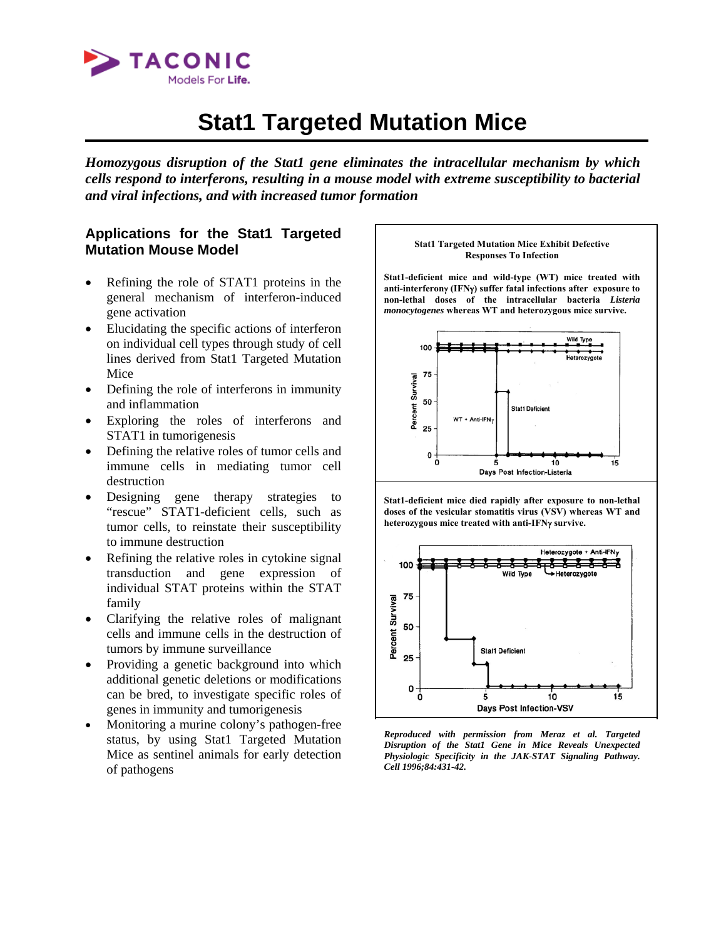

# **Stat1 Targeted Mutation Mice**

*Homozygous disruption of the Stat1 gene eliminates the intracellular mechanism by which cells respond to interferons, resulting in a mouse model with extreme susceptibility to bacterial and viral infections, and with increased tumor formation* 

# **Applications for the Stat1 Targeted Mutation Mouse Model**

- Refining the role of STAT1 proteins in the general mechanism of interferon-induced gene activation
- Elucidating the specific actions of interferon on individual cell types through study of cell lines derived from Stat1 Targeted Mutation Mice
- Defining the role of interferons in immunity and inflammation
- Exploring the roles of interferons and STAT1 in tumorigenesis
- Defining the relative roles of tumor cells and immune cells in mediating tumor cell destruction
- Designing gene therapy strategies to "rescue" STAT1-deficient cells, such as tumor cells, to reinstate their susceptibility to immune destruction
- Refining the relative roles in cytokine signal transduction and gene expression of individual STAT proteins within the STAT family
- Clarifying the relative roles of malignant cells and immune cells in the destruction of tumors by immune surveillance
- Providing a genetic background into which additional genetic deletions or modifications can be bred, to investigate specific roles of genes in immunity and tumorigenesis
- Monitoring a murine colony's pathogen-free status, by using Stat1 Targeted Mutation Mice as sentinel animals for early detection of pathogens

#### **Stat1 Targeted Mutation Mice Exhibit Defective Responses To Infection**

**Stat1-deficient mice and wild-type (WT) mice treated with anti-interferon**γ **(IFN**γ**) suffer fatal infections after exposure to non-lethal doses of the intracellular bacteria** *Listeria monocytogenes* **whereas WT and heterozygous mice survive.** 



**Stat1-deficient mice died rapidly after exposure to non-lethal doses of the vesicular stomatitis virus (VSV) whereas WT and heterozygous mice treated with anti-IFN**γ **survive.**



*Reproduced with permission from Meraz et al. Targeted Disruption of the Stat1 Gene in Mice Reveals Unexpected Physiologic Specificity in the JAK-STAT Signaling Pathway. Cell 1996;84:431-42.*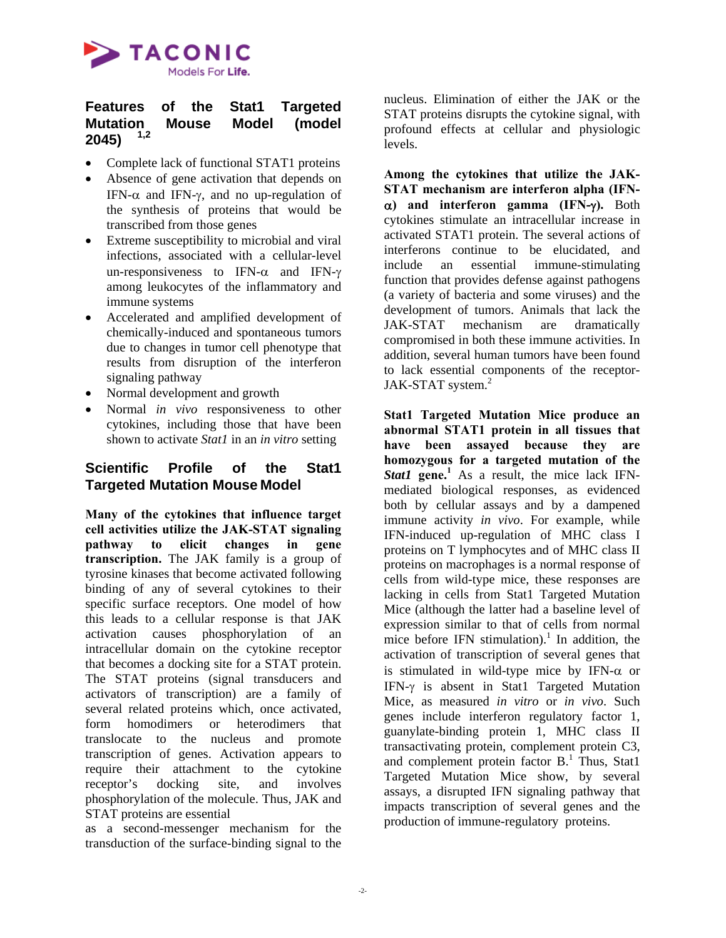

### **Features of the Stat1 Targeted Mutation Mouse Model (model 2045) 1,2**

- Complete lack of functional STAT1 proteins
- Absence of gene activation that depends on IFN- $\alpha$  and IFN- $\gamma$ , and no up-regulation of the synthesis of proteins that would be transcribed from those genes
- Extreme susceptibility to microbial and viral infections, associated with a cellular-level un-responsiveness to IFN- $\alpha$  and IFN- $\gamma$ among leukocytes of the inflammatory and immune systems
- Accelerated and amplified development of chemically-induced and spontaneous tumors due to changes in tumor cell phenotype that results from disruption of the interferon signaling pathway
- Normal development and growth
- Normal *in vivo* responsiveness to other cytokines, including those that have been shown to activate *Stat1* in an *in vitro* setting

### **Scientific Profile of the Stat1 Targeted Mutation Mouse Model**

**Many of the cytokines that influence target cell activities utilize the JAK-STAT signaling pathway to elicit changes in gene transcription.** The JAK family is a group of tyrosine kinases that become activated following binding of any of several cytokines to their specific surface receptors. One model of how this leads to a cellular response is that JAK activation causes phosphorylation of an intracellular domain on the cytokine receptor that becomes a docking site for a STAT protein. The STAT proteins (signal transducers and activators of transcription) are a family of several related proteins which, once activated, form homodimers or heterodimers that translocate to the nucleus and promote transcription of genes. Activation appears to require their attachment to the cytokine receptor's docking site, and involves phosphorylation of the molecule. Thus, JAK and STAT proteins are essential

as a second-messenger mechanism for the transduction of the surface-binding signal to the

nucleus. Elimination of either the JAK or the STAT proteins disrupts the cytokine signal, with profound effects at cellular and physiologic levels.

**Among the cytokines that utilize the JAK-STAT mechanism are interferon alpha (IFN**α**) and interferon gamma (IFN-**γ**).** Both cytokines stimulate an intracellular increase in activated STAT1 protein. The several actions of interferons continue to be elucidated, and include an essential immune-stimulating function that provides defense against pathogens (a variety of bacteria and some viruses) and the development of tumors. Animals that lack the JAK-STAT mechanism are dramatically compromised in both these immune activities. In addition, several human tumors have been found to lack essential components of the receptor-JAK-STAT system. $2$ 

**Stat1 Targeted Mutation Mice produce an abnormal STAT1 protein in all tissues that have been assayed because they are homozygous for a targeted mutation of the Stat1** gene.<sup>1</sup> As a result, the mice lack IFNmediated biological responses, as evidenced both by cellular assays and by a dampened immune activity *in vivo*. For example, while IFN-induced up-regulation of MHC class I proteins on T lymphocytes and of MHC class II proteins on macrophages is a normal response of cells from wild-type mice, these responses are lacking in cells from Stat1 Targeted Mutation Mice (although the latter had a baseline level of expression similar to that of cells from normal mice before IFN stimulation).<sup>1</sup> In addition, the activation of transcription of several genes that is stimulated in wild-type mice by IFN- $\alpha$  or IFN-γ is absent in Stat1 Targeted Mutation Mice, as measured *in vitro* or *in vivo*. Such genes include interferon regulatory factor 1, guanylate-binding protein 1, MHC class II transactivating protein, complement protein C3, and complement protein factor  $B<sup>1</sup>$ . Thus, Stat1 Targeted Mutation Mice show, by several assays, a disrupted IFN signaling pathway that impacts transcription of several genes and the production of immune-regulatory proteins.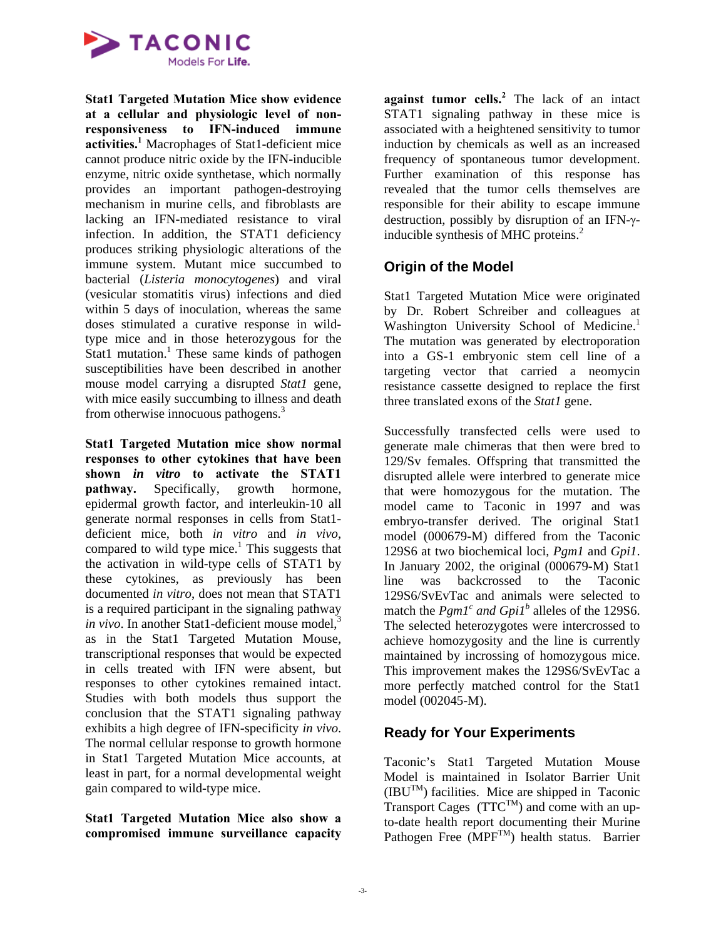

**Stat1 Targeted Mutation Mice show evidence at a cellular and physiologic level of nonresponsiveness to IFN-induced immune activities.<sup>1</sup>** Macrophages of Stat1-deficient mice cannot produce nitric oxide by the IFN-inducible enzyme, nitric oxide synthetase, which normally provides an important pathogen-destroying mechanism in murine cells, and fibroblasts are lacking an IFN-mediated resistance to viral infection. In addition, the STAT1 deficiency produces striking physiologic alterations of the immune system. Mutant mice succumbed to bacterial (*Listeria monocytogenes*) and viral (vesicular stomatitis virus) infections and died within 5 days of inoculation, whereas the same doses stimulated a curative response in wildtype mice and in those heterozygous for the Stat1 mutation.<sup>1</sup> These same kinds of pathogen susceptibilities have been described in another mouse model carrying a disrupted *Stat1* gene, with mice easily succumbing to illness and death from otherwise innocuous pathogens.<sup>3</sup>

**Stat1 Targeted Mutation mice show normal responses to other cytokines that have been shown** *in vitro* **to activate the STAT1 pathway.** Specifically, growth hormone, epidermal growth factor, and interleukin-10 all generate normal responses in cells from Stat1 deficient mice, both *in vitro* and *in vivo*, compared to wild type mice.<sup>1</sup> This suggests that the activation in wild-type cells of STAT1 by these cytokines, as previously has been documented *in vitro*, does not mean that STAT1 is a required participant in the signaling pathway *in vivo*. In another Stat1-deficient mouse model, $3$ as in the Stat1 Targeted Mutation Mouse, transcriptional responses that would be expected in cells treated with IFN were absent, but responses to other cytokines remained intact. Studies with both models thus support the conclusion that the STAT1 signaling pathway exhibits a high degree of IFN-specificity *in vivo*. The normal cellular response to growth hormone in Stat1 Targeted Mutation Mice accounts, at least in part, for a normal developmental weight gain compared to wild-type mice.

**Stat1 Targeted Mutation Mice also show a compromised immune surveillance capacity** 

**against tumor cells.<sup>2</sup>** The lack of an intact STAT1 signaling pathway in these mice is associated with a heightened sensitivity to tumor induction by chemicals as well as an increased frequency of spontaneous tumor development. Further examination of this response has revealed that the tumor cells themselves are responsible for their ability to escape immune destruction, possibly by disruption of an IFN-γinducible synthesis of MHC proteins.<sup>2</sup>

# **Origin of the Model**

Stat1 Targeted Mutation Mice were originated by Dr. Robert Schreiber and colleagues at Washington University School of Medicine.<sup>1</sup> The mutation was generated by electroporation into a GS-1 embryonic stem cell line of a targeting vector that carried a neomycin resistance cassette designed to replace the first three translated exons of the *Stat1* gene.

Successfully transfected cells were used to generate male chimeras that then were bred to 129/Sv females. Offspring that transmitted the disrupted allele were interbred to generate mice that were homozygous for the mutation. The model came to Taconic in 1997 and was embryo-transfer derived. The original Stat1 model (000679-M) differed from the Taconic 129S6 at two biochemical loci, *Pgm1* and *Gpi1*. In January 2002, the original (000679-M) Stat1 line was backcrossed to the Taconic 129S6/SvEvTac and animals were selected to match the  $Pgm1^c$  and  $Gpi1^b$  alleles of the 129S6. The selected heterozygotes were intercrossed to achieve homozygosity and the line is currently maintained by incrossing of homozygous mice. This improvement makes the 129S6/SvEvTac a more perfectly matched control for the Stat1 model (002045-M).

# **Ready for Your Experiments**

Taconic's Stat1 Targeted Mutation Mouse Model is maintained in Isolator Barrier Unit  $(IBU<sup>TM</sup>)$  facilities. Mice are shipped in Taconic Transport Cages  $(TTC^{TM})$  and come with an upto-date health report documenting their Murine Pathogen Free  $(MPF^{TM})$  health status. Barrier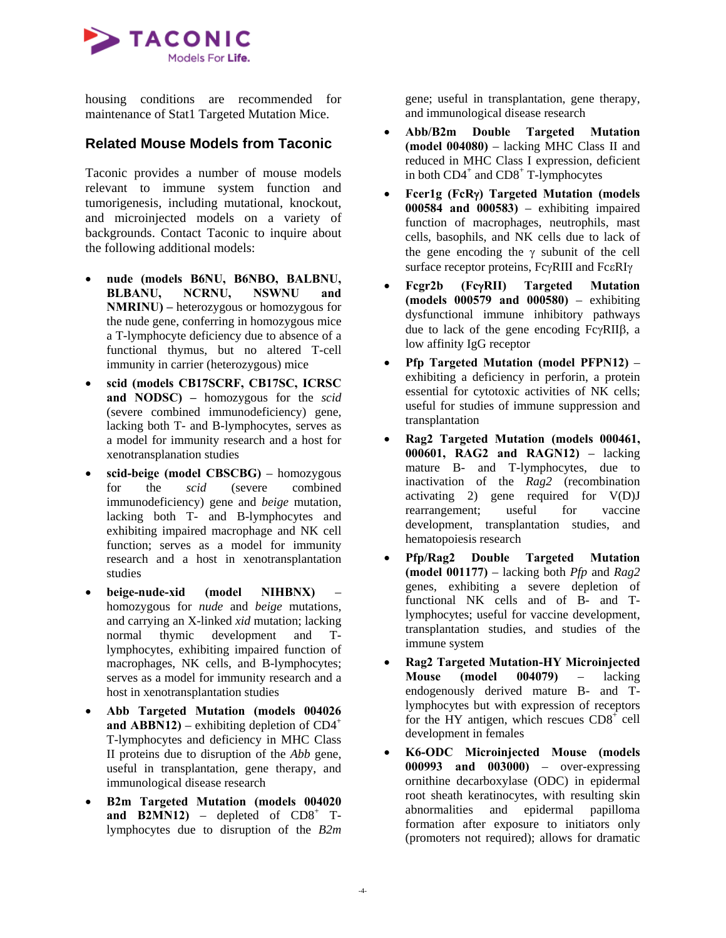

housing conditions are recommended for maintenance of Stat1 Targeted Mutation Mice.

### **Related Mouse Models from Taconic**

Taconic provides a number of mouse models relevant to immune system function and tumorigenesis, including mutational, knockout, and microinjected models on a variety of backgrounds. Contact Taconic to inquire about the following additional models:

- **nude (models B6NU, B6NBO, BALBNU, BLBANU, NCRNU, NSWNU and NMRINU) –** heterozygous or homozygous for the nude gene, conferring in homozygous mice a T-lymphocyte deficiency due to absence of a functional thymus, but no altered T-cell immunity in carrier (heterozygous) mice
- **scid (models CB17SCRF, CB17SC, ICRSC and NODSC) –** homozygous for the *scid* (severe combined immunodeficiency) gene, lacking both T- and B-lymphocytes, serves as a model for immunity research and a host for xenotransplanation studies
- **scid-beige (model CBSCBG)** homozygous for the *scid* (severe combined immunodeficiency) gene and *beige* mutation, lacking both T- and B-lymphocytes and exhibiting impaired macrophage and NK cell function; serves as a model for immunity research and a host in xenotransplantation studies
- **beige-nude-xid (model NIHBNX)** homozygous for *nude* and *beige* mutations, and carrying an X-linked *xid* mutation; lacking normal thymic development and Tlymphocytes, exhibiting impaired function of macrophages, NK cells, and B-lymphocytes; serves as a model for immunity research and a host in xenotransplantation studies
- **Abb Targeted Mutation (models 004026 and ABBN12)** – exhibiting depletion of  $CD4^+$ T-lymphocytes and deficiency in MHC Class II proteins due to disruption of the *Abb* gene, useful in transplantation, gene therapy, and immunological disease research
- **B2m Targeted Mutation (models 004020 and B2MN12)** – depleted of  $CD8^+$  Tlymphocytes due to disruption of the *B2m*

gene; useful in transplantation, gene therapy, and immunological disease research

- **Abb/B2m Double Targeted Mutation (model 004080)** – lacking MHC Class II and reduced in MHC Class I expression, deficient in both  $CD4^+$  and  $CD8^+$  T-lymphocytes
- **Fcer1g (FcR**γ**) Targeted Mutation (models 000584 and 000583)** – exhibiting impaired function of macrophages, neutrophils, mast cells, basophils, and NK cells due to lack of the gene encoding the  $\gamma$  subunit of the cell surface receptor proteins, FcγRIII and FcεRIγ
- **Fcgr2b (Fc**γ**RII) Targeted Mutation (models 000579 and 000580)** – exhibiting dysfunctional immune inhibitory pathways due to lack of the gene encoding FcγRIIβ, a low affinity IgG receptor
- **Pfp Targeted Mutation (model PFPN12)** exhibiting a deficiency in perforin, a protein essential for cytotoxic activities of NK cells; useful for studies of immune suppression and transplantation
- **Rag2 Targeted Mutation (models 000461, 000601, RAG2 and RAGN12)** – lacking mature B- and T-lymphocytes, due to inactivation of the *Rag2* (recombination activating 2) gene required for V(D)J rearrangement; useful for vaccine development, transplantation studies, and hematopoiesis research
- **Pfp/Rag2 Double Targeted Mutation (model 001177)** – lacking both *Pfp* and *Rag2* genes, exhibiting a severe depletion of functional NK cells and of B- and Tlymphocytes; useful for vaccine development, transplantation studies, and studies of the immune system
- **Rag2 Targeted Mutation-HY Microinjected Mouse (model 004079)** – lacking endogenously derived mature B- and Tlymphocytes but with expression of receptors for the HY antigen, which rescues  $CD8<sup>+</sup>$  cell development in females
- **K6-ODC Microinjected Mouse (models 000993 and 003000)** – over-expressing ornithine decarboxylase (ODC) in epidermal root sheath keratinocytes, with resulting skin abnormalities and epidermal papilloma formation after exposure to initiators only (promoters not required); allows for dramatic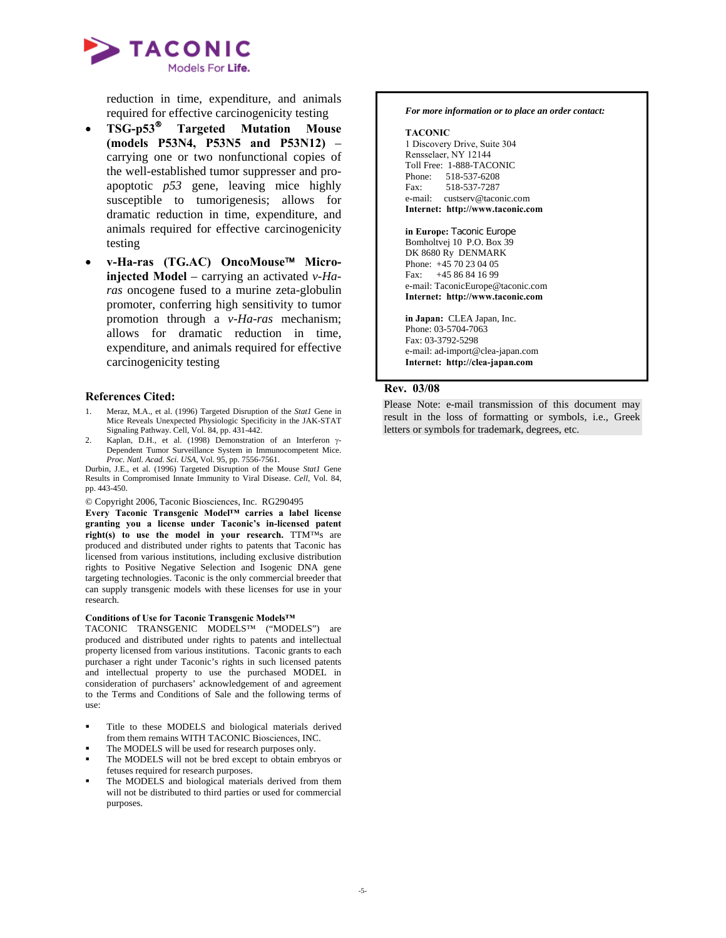

reduction in time, expenditure, and animals required for effective carcinogenicity testing

- **TSG-p53**® **Targeted Mutation Mouse (models P53N4, P53N5 and P53N12)** – carrying one or two nonfunctional copies of the well-established tumor suppresser and proapoptotic *p53* gene, leaving mice highly susceptible to tumorigenesis; allows for dramatic reduction in time, expenditure, and animals required for effective carcinogenicity testing
- **v-Ha-ras (TG.AC) OncoMouse**™ **Microinjected Model** – carrying an activated *v-Haras* oncogene fused to a murine zeta-globulin promoter, conferring high sensitivity to tumor promotion through a *v-Ha-ras* mechanism; allows for dramatic reduction in time, expenditure, and animals required for effective carcinogenicity testing

#### **References Cited:**

- 1. Meraz, M.A., et al. (1996) Targeted Disruption of the *Stat1* Gene in Mice Reveals Unexpected Physiologic Specificity in the JAK-STAT Signaling Pathway. Cell, Vol. 84, pp. 431-442.
- 2. Kaplan, D.H., et al. (1998) Demonstration of an Interferon γ-Dependent Tumor Surveillance System in Immunocompetent Mice. *Proc. Natl. Acad. Sci. USA*, Vol. 95, pp. 7556-7561.

Durbin, J.E., et al. (1996) Targeted Disruption of the Mouse *Stat1* Gene Results in Compromised Innate Immunity to Viral Disease. *Cell*, Vol. 84, pp. 443-450.

© Copyright 2006, Taconic Biosciences, Inc. RG290495

**Every Taconic Transgenic Model™ carries a label license granting you a license under Taconic's in-licensed patent right(s) to use the model in your research.** TTM™s are produced and distributed under rights to patents that Taconic has licensed from various institutions, including exclusive distribution rights to Positive Negative Selection and Isogenic DNA gene targeting technologies. Taconic is the only commercial breeder that can supply transgenic models with these licenses for use in your research.

#### **Conditions of Use for Taconic Transgenic Models™**

TACONIC TRANSGENIC MODELS™ ("MODELS") are produced and distributed under rights to patents and intellectual property licensed from various institutions. Taconic grants to each purchaser a right under Taconic's rights in such licensed patents and intellectual property to use the purchased MODEL in consideration of purchasers' acknowledgement of and agreement to the Terms and Conditions of Sale and the following terms of use:

- Title to these MODELS and biological materials derived from them remains WITH TACONIC Biosciences, INC.
- The MODELS will be used for research purposes only.
- The MODELS will not be bred except to obtain embryos or fetuses required for research purposes.
- The MODELS and biological materials derived from them will not be distributed to third parties or used for commercial purposes.

#### *For more information or to place an order contact:*

#### **TACONIC**

1 Discovery Drive, Suite 304 Rensselaer, NY 12144 Toll Free: 1-888-TACONIC Phone: 518-537-6208 Fax: 518-537-7287 e-mail: custserv@taconic.com **Internet: http://www.taconic.com**

**in Europe:** Taconic Europe Bomholtvej 10 P.O. Box 39 DK 8680 Ry DENMARK Phone: +45 70 23 04 05 Fax: +45 86 84 16 99 e-mail: TaconicEurope@taconic.com **Internet: http://www.taconic.com** 

**in Japan:** CLEA Japan, Inc. Phone: 03-5704-7063 Fax: 03-3792-5298 e-mail: ad-import@clea-japan.com **Internet: http://clea-japan.com**

#### **Rev. 03/08**

Please Note: e-mail transmission of this document may result in the loss of formatting or symbols, i.e., Greek letters or symbols for trademark, degrees, etc.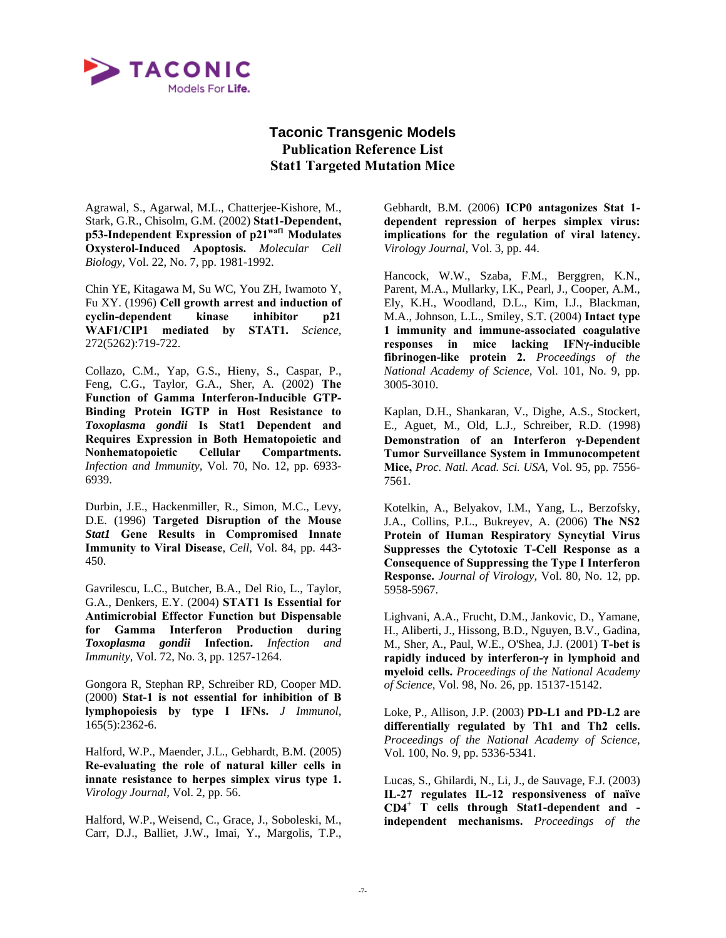

# **Taconic Transgenic Models Publication Reference List Stat1 Targeted Mutation Mice**

Agrawal, S., Agarwal, M.L., Chatterjee-Kishore, M., Stark, G.R., Chisolm, G.M. (2002) **Stat1-Dependent, p53-Independent Expression of p21waf1 Modulates Oxysterol-Induced Apoptosis.** *Molecular Cell Biology,* Vol. 22, No. 7, pp. 1981-1992.

Chin YE, Kitagawa M, Su WC, You ZH, Iwamoto Y, Fu XY. (1996) **Cell growth arrest and induction of cyclin-dependent kinase inhibitor p21 WAF1/CIP1 mediated by STAT1.** *Science,* 272(5262):719-722.

Collazo, C.M., Yap, G.S., Hieny, S., Caspar, P., Feng, C.G., Taylor, G.A., Sher, A. (2002) **The Function of Gamma Interferon-Inducible GTP-Binding Protein IGTP in Host Resistance to**  *Toxoplasma gondii* **Is Stat1 Dependent and Requires Expression in Both Hematopoietic and Nonhematopoietic Cellular Compartments.** *Infection and Immunity,* Vol. 70, No. 12, pp. 6933- 6939.

Durbin, J.E., Hackenmiller, R., Simon, M.C., Levy, D.E. (1996) **Targeted Disruption of the Mouse** *Stat1* **Gene Results in Compromised Innate Immunity to Viral Disease**, *Cell*, Vol. 84, pp. 443- 450.

Gavrilescu, L.C., Butcher, B.A., Del Rio, L., Taylor, G.A., Denkers, E.Y. (2004) **STAT1 Is Essential for Antimicrobial Effector Function but Dispensable for Gamma Interferon Production during** *Toxoplasma gondii* **Infection.** *Infection and Immunity,* Vol. 72, No. 3, pp. 1257-1264.

Gongora R, Stephan RP, Schreiber RD, Cooper MD. (2000) **Stat-1 is not essential for inhibition of B lymphopoiesis by type I IFNs.** *J Immunol,* 165(5):2362-6.

Halford, W.P., Maender, J.L., Gebhardt, B.M. (2005) **Re-evaluating the role of natural killer cells in innate resistance to herpes simplex virus type 1.** *Virology Journal,* Vol. 2, pp. 56.

Halford, W.P., Weisend, C., Grace, J., Soboleski, M., Carr, D.J., Balliet, J.W., Imai, Y., Margolis, T.P., Gebhardt, B.M. (2006) **ICP0 antagonizes Stat 1 dependent repression of herpes simplex virus: implications for the regulation of viral latency.** *Virology Journal,* Vol. 3, pp. 44.

Hancock, W.W., Szaba, F.M., Berggren, K.N., Parent, M.A., Mullarky, I.K., Pearl, J., Cooper, A.M., Ely, K.H., Woodland, D.L., Kim, I.J., Blackman, M.A., Johnson, L.L., Smiley, S.T. (2004) **Intact type 1 immunity and immune-associated coagulative responses in mice lacking IFNγ-inducible fibrinogen-like protein 2.** *Proceedings of the National Academy of Science,* Vol. 101, No. 9, pp. 3005-3010.

Kaplan, D.H., Shankaran, V., Dighe, A.S., Stockert, E., Aguet, M., Old, L.J., Schreiber, R.D. (1998) **Demonstration of an Interferon** γ**-Dependent Tumor Surveillance System in Immunocompetent Mice,** *Proc. Natl. Acad. Sci. USA*, Vol. 95, pp. 7556- 7561.

Kotelkin, A., Belyakov, I.M., Yang, L., Berzofsky, J.A., Collins, P.L., Bukreyev, A. (2006) **The NS2 Protein of Human Respiratory Syncytial Virus Suppresses the Cytotoxic T-Cell Response as a Consequence of Suppressing the Type I Interferon Response.** *Journal of Virology,* Vol. 80, No. 12, pp. 5958-5967.

Lighvani, A.A., Frucht, D.M., Jankovic, D., Yamane, H., Aliberti, J., Hissong, B.D., Nguyen, B.V., Gadina, M., Sher, A., Paul, W.E., O'Shea, J.J. (2001) **T-bet is rapidly induced by interferon-γ in lymphoid and myeloid cells.** *Proceedings of the National Academy of Science,* Vol. 98, No. 26, pp. 15137-15142.

Loke, P., Allison, J.P. (2003) **PD-L1 and PD-L2 are differentially regulated by Th1 and Th2 cells.** *Proceedings of the National Academy of Science,* Vol. 100, No. 9, pp. 5336-5341.

Lucas, S., Ghilardi, N., Li, J., de Sauvage, F.J. (2003) **IL-27 regulates IL-12 responsiveness of naïve CD4<sup>+</sup> T cells through Stat1-dependent and independent mechanisms.** *Proceedings of the*